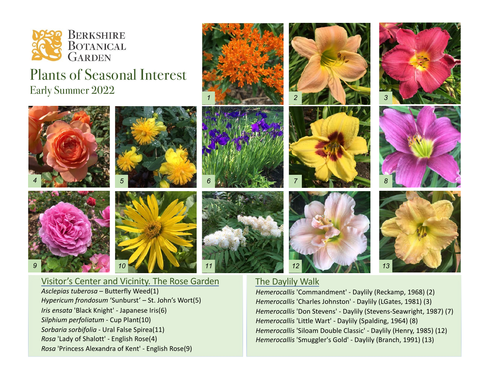

## Plants of Seasonal Interest Early Summer 2022

*5*

*4 6*

*11*





## The Daylily Walk

*Hemerocallis* 'Commandment' - Daylily (Reckamp, 1968) (2) *Hemerocallis* 'Charles Johnston' - Daylily (LGates, 1981) (3) *Hemerocallis* 'Don Stevens' - Daylily (Stevens-Seawright, 1987) (7) *Hemerocallis* 'Little Wart' - Daylily (Spalding, 1964) (8) *Hemerocallis* 'Siloam Double Classic' - Daylily (Henry, 1985) (12) *Hemerocallis* 'Smuggler's Gold' - Daylily (Branch, 1991) (13)